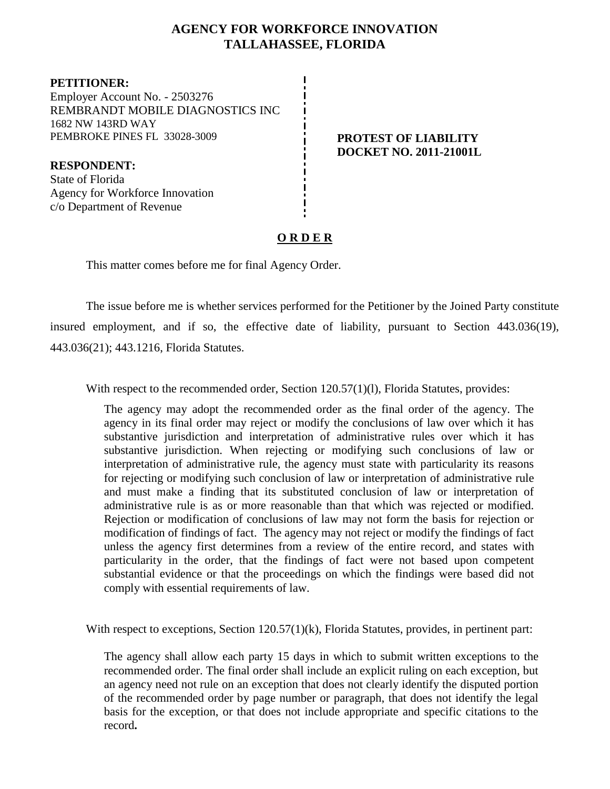# **AGENCY FOR WORKFORCE INNOVATION TALLAHASSEE, FLORIDA**

**PETITIONER:** Employer Account No. - 2503276 REMBRANDT MOBILE DIAGNOSTICS INC 1682 NW 143RD WAY PEMBROKE PINES FL 33028-3009 **PEMBROKE PINES FL 33028-3009 PROTEST OF LIABILITY** 

# **DOCKET NO. 2011-21001L**

**RESPONDENT:** State of Florida Agency for Workforce Innovation c/o Department of Revenue

# **O R D E R**

This matter comes before me for final Agency Order.

The issue before me is whether services performed for the Petitioner by the Joined Party constitute insured employment, and if so, the effective date of liability, pursuant to Section 443.036(19), 443.036(21); 443.1216, Florida Statutes.

With respect to the recommended order, Section 120.57(1)(1), Florida Statutes, provides:

The agency may adopt the recommended order as the final order of the agency. The agency in its final order may reject or modify the conclusions of law over which it has substantive jurisdiction and interpretation of administrative rules over which it has substantive jurisdiction. When rejecting or modifying such conclusions of law or interpretation of administrative rule, the agency must state with particularity its reasons for rejecting or modifying such conclusion of law or interpretation of administrative rule and must make a finding that its substituted conclusion of law or interpretation of administrative rule is as or more reasonable than that which was rejected or modified. Rejection or modification of conclusions of law may not form the basis for rejection or modification of findings of fact. The agency may not reject or modify the findings of fact unless the agency first determines from a review of the entire record, and states with particularity in the order, that the findings of fact were not based upon competent substantial evidence or that the proceedings on which the findings were based did not comply with essential requirements of law.

With respect to exceptions, Section 120.57(1)(k), Florida Statutes, provides, in pertinent part:

The agency shall allow each party 15 days in which to submit written exceptions to the recommended order. The final order shall include an explicit ruling on each exception, but an agency need not rule on an exception that does not clearly identify the disputed portion of the recommended order by page number or paragraph, that does not identify the legal basis for the exception, or that does not include appropriate and specific citations to the record**.**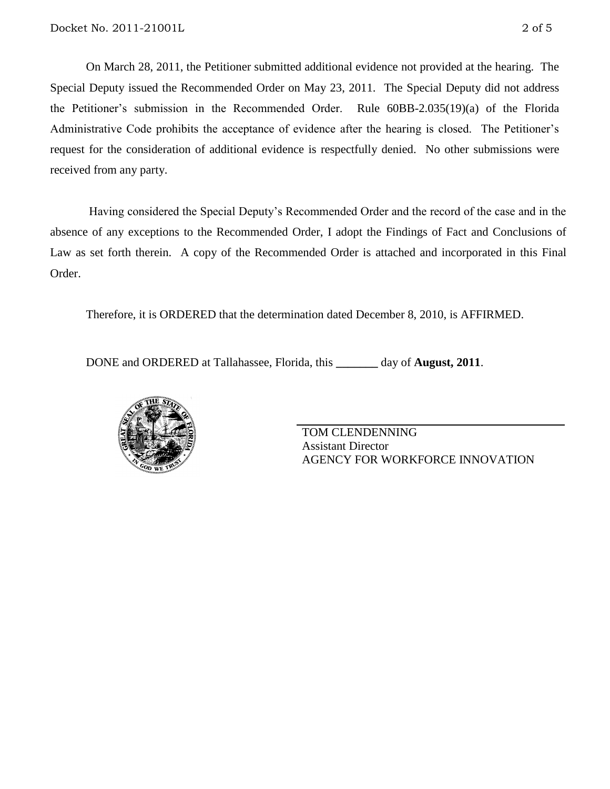On March 28, 2011, the Petitioner submitted additional evidence not provided at the hearing. The Special Deputy issued the Recommended Order on May 23, 2011. The Special Deputy did not address the Petitioner's submission in the Recommended Order. Rule 60BB-2.035(19)(a) of the Florida Administrative Code prohibits the acceptance of evidence after the hearing is closed. The Petitioner's request for the consideration of additional evidence is respectfully denied. No other submissions were received from any party.

Having considered the Special Deputy's Recommended Order and the record of the case and in the absence of any exceptions to the Recommended Order, I adopt the Findings of Fact and Conclusions of Law as set forth therein. A copy of the Recommended Order is attached and incorporated in this Final Order.

Therefore, it is ORDERED that the determination dated December 8, 2010, is AFFIRMED.

DONE and ORDERED at Tallahassee, Florida, this **\_\_\_\_\_\_\_** day of **August, 2011**.



TOM CLENDENNING Assistant Director AGENCY FOR WORKFORCE INNOVATION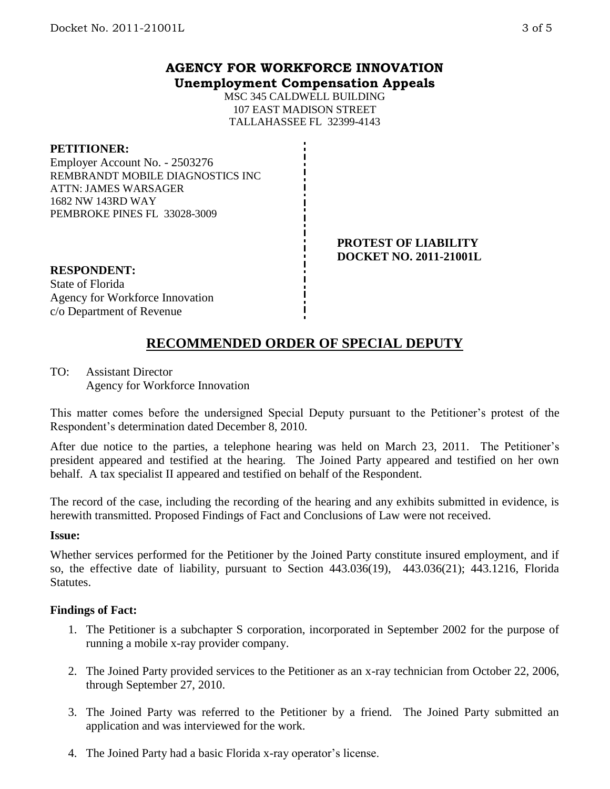## **AGENCY FOR WORKFORCE INNOVATION Unemployment Compensation Appeals**

MSC 345 CALDWELL BUILDING 107 EAST MADISON STREET TALLAHASSEE FL 32399-4143

#### **PETITIONER:**

Employer Account No. - 2503276 REMBRANDT MOBILE DIAGNOSTICS INC ATTN: JAMES WARSAGER 1682 NW 143RD WAY PEMBROKE PINES FL 33028-3009

#### **PROTEST OF LIABILITY DOCKET NO. 2011-21001L**

**RESPONDENT:** State of Florida Agency for Workforce Innovation c/o Department of Revenue

# **RECOMMENDED ORDER OF SPECIAL DEPUTY**

TO: Assistant Director Agency for Workforce Innovation

This matter comes before the undersigned Special Deputy pursuant to the Petitioner's protest of the Respondent's determination dated December 8, 2010.

After due notice to the parties, a telephone hearing was held on March 23, 2011. The Petitioner's president appeared and testified at the hearing. The Joined Party appeared and testified on her own behalf. A tax specialist II appeared and testified on behalf of the Respondent.

The record of the case, including the recording of the hearing and any exhibits submitted in evidence, is herewith transmitted. Proposed Findings of Fact and Conclusions of Law were not received.

#### **Issue:**

Whether services performed for the Petitioner by the Joined Party constitute insured employment, and if so, the effective date of liability, pursuant to Section 443.036(19), 443.036(21); 443.1216, Florida Statutes.

#### **Findings of Fact:**

- 1. The Petitioner is a subchapter S corporation, incorporated in September 2002 for the purpose of running a mobile x-ray provider company.
- 2. The Joined Party provided services to the Petitioner as an x-ray technician from October 22, 2006, through September 27, 2010.
- 3. The Joined Party was referred to the Petitioner by a friend. The Joined Party submitted an application and was interviewed for the work.
- 4. The Joined Party had a basic Florida x-ray operator's license.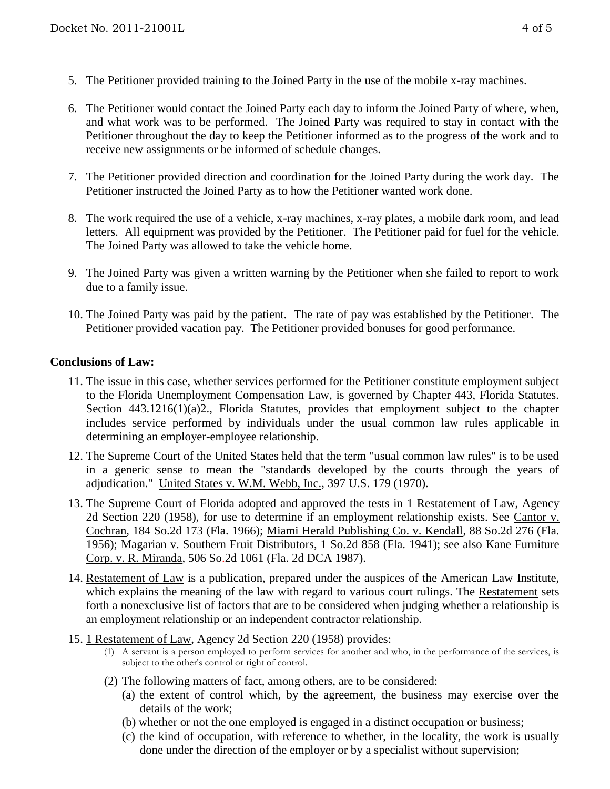- 5. The Petitioner provided training to the Joined Party in the use of the mobile x-ray machines.
- 6. The Petitioner would contact the Joined Party each day to inform the Joined Party of where, when, and what work was to be performed. The Joined Party was required to stay in contact with the Petitioner throughout the day to keep the Petitioner informed as to the progress of the work and to receive new assignments or be informed of schedule changes.
- 7. The Petitioner provided direction and coordination for the Joined Party during the work day. The Petitioner instructed the Joined Party as to how the Petitioner wanted work done.
- 8. The work required the use of a vehicle, x-ray machines, x-ray plates, a mobile dark room, and lead letters. All equipment was provided by the Petitioner. The Petitioner paid for fuel for the vehicle. The Joined Party was allowed to take the vehicle home.
- 9. The Joined Party was given a written warning by the Petitioner when she failed to report to work due to a family issue.
- 10. The Joined Party was paid by the patient. The rate of pay was established by the Petitioner. The Petitioner provided vacation pay. The Petitioner provided bonuses for good performance.

### **Conclusions of Law:**

- 11. The issue in this case, whether services performed for the Petitioner constitute employment subject to the Florida Unemployment Compensation Law, is governed by Chapter 443, Florida Statutes. Section 443.1216(1)(a)2., Florida Statutes, provides that employment subject to the chapter includes service performed by individuals under the usual common law rules applicable in determining an employer-employee relationship.
- 12. The Supreme Court of the United States held that the term "usual common law rules" is to be used in a generic sense to mean the "standards developed by the courts through the years of adjudication." United States v. W.M. Webb, Inc., 397 U.S. 179 (1970).
- 13. The Supreme Court of Florida adopted and approved the tests in 1 Restatement of Law, Agency 2d Section 220 (1958), for use to determine if an employment relationship exists. See Cantor v. Cochran, 184 So.2d 173 (Fla. 1966); Miami Herald Publishing Co. v. Kendall, 88 So.2d 276 (Fla. 1956); Magarian v. Southern Fruit Distributors, 1 So.2d 858 (Fla. 1941); see also Kane Furniture Corp. v. R. Miranda, 506 So.2d 1061 (Fla. 2d DCA 1987).
- 14. Restatement of Law is a publication, prepared under the auspices of the American Law Institute, which explains the meaning of the law with regard to various court rulings. The Restatement sets forth a nonexclusive list of factors that are to be considered when judging whether a relationship is an employment relationship or an independent contractor relationship.
- 15. 1 Restatement of Law, Agency 2d Section 220 (1958) provides:
	- (1) A servant is a person employed to perform services for another and who, in the performance of the services, is subject to the other's control or right of control.
	- (2) The following matters of fact, among others, are to be considered:
		- (a) the extent of control which, by the agreement, the business may exercise over the details of the work;
		- (b) whether or not the one employed is engaged in a distinct occupation or business;
		- (c) the kind of occupation, with reference to whether, in the locality, the work is usually done under the direction of the employer or by a specialist without supervision;